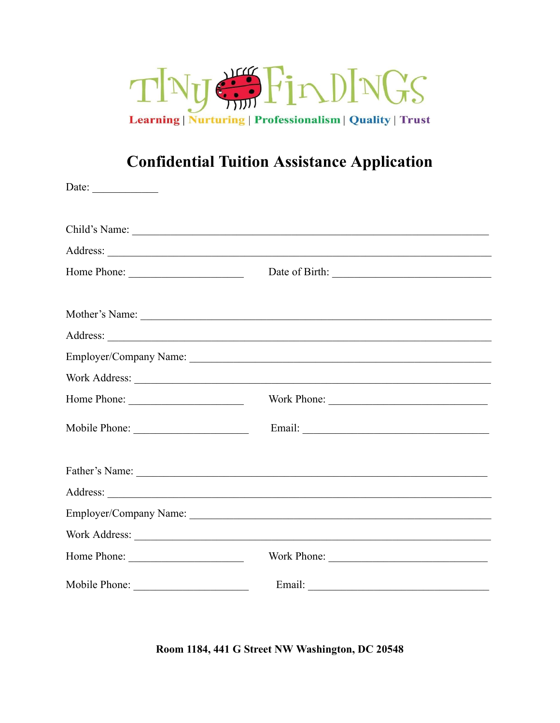

## **Confidential Tuition Assistance Application**

| Date: $\qquad \qquad$ |  |
|-----------------------|--|
|                       |  |
|                       |  |
|                       |  |
|                       |  |
|                       |  |
|                       |  |
|                       |  |
|                       |  |
|                       |  |
|                       |  |
|                       |  |
|                       |  |
|                       |  |
|                       |  |
|                       |  |
|                       |  |

Room 1184, 441 G Street NW Washington, DC 20548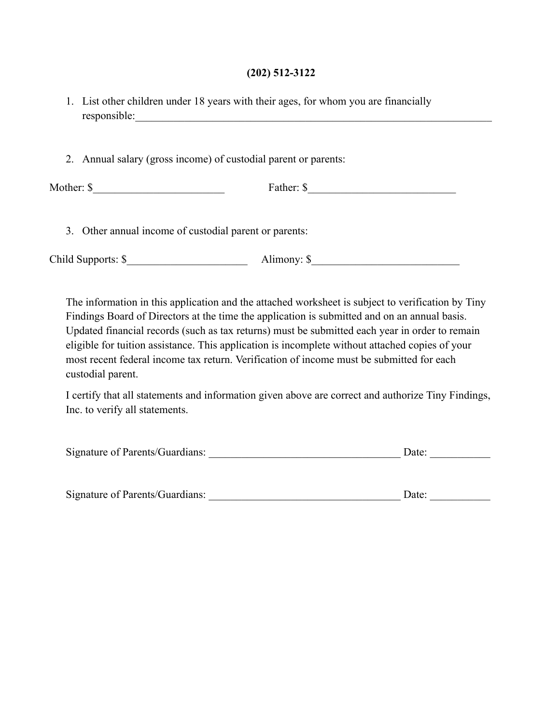## **(202) 512-3122**

| 1. List other children under 18 years with their ages, for whom you are financially |
|-------------------------------------------------------------------------------------|
| responsible:                                                                        |

2. Annual salary (gross income) of custodial parent or parents:

| Mo |  |
|----|--|
|    |  |

3. Other annual income of custodial parent or parents:

Child Supports: \$\_\_\_\_\_\_\_\_\_\_\_\_\_\_\_\_\_\_\_\_\_\_ Alimony: \$\_\_\_\_\_\_\_\_\_\_\_\_\_\_\_\_\_\_\_\_\_\_\_\_\_\_\_

The information in this application and the attached worksheet is subject to verification by Tiny Findings Board of Directors at the time the application is submitted and on an annual basis. Updated financial records (such as tax returns) must be submitted each year in order to remain eligible for tuition assistance. This application is incomplete without attached copies of your most recent federal income tax return. Verification of income must be submitted for each custodial parent.

I certify that all statements and information given above are correct and authorize Tiny Findings, Inc. to verify all statements.

| Signature of Parents/Guardians: |  |  |
|---------------------------------|--|--|
|---------------------------------|--|--|

| Signature of Parents/Guardians: | )ate |
|---------------------------------|------|
|---------------------------------|------|